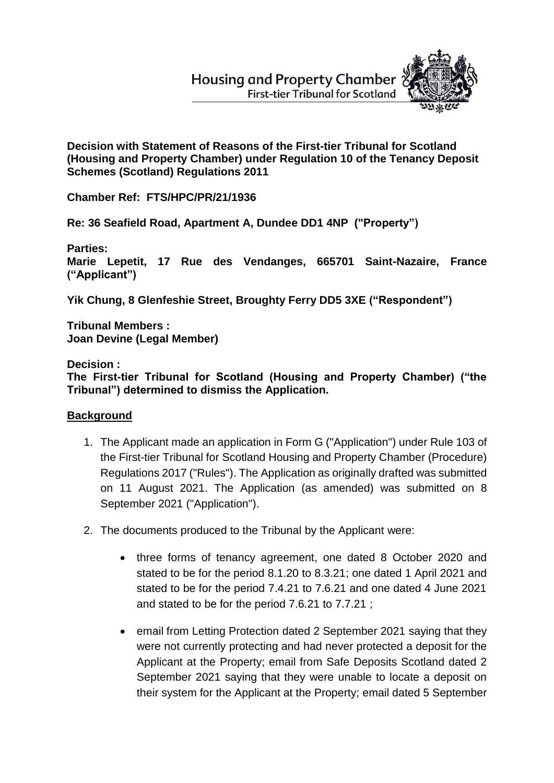# **Housing and Property Chamber First-tier Tribunal for Scotland**



**Decision with Statement of Reasons of the First-tier Tribunal for Scotland (Housing and Property Chamber) under Regulation 10 of the Tenancy Deposit Schemes (Scotland) Regulations 2011** 

**Chamber Ref: FTS/HPC/PR/21/1936**

**Re: 36 Seafield Road, Apartment A, Dundee DD1 4NP ("Property")**

**Parties:**

**Marie Lepetit, 17 Rue des Vendanges, 665701 Saint-Nazaire, France ("Applicant")**

**Yik Chung, 8 Glenfeshie Street, Broughty Ferry DD5 3XE ("Respondent")** 

**Tribunal Members : Joan Devine (Legal Member)**

**Decision :**

**The First-tier Tribunal for Scotland (Housing and Property Chamber) ("the Tribunal") determined to dismiss the Application.**

## **Background**

- 1. The Applicant made an application in Form G ("Application") under Rule 103 of the First-tier Tribunal for Scotland Housing and Property Chamber (Procedure) Regulations 2017 ("Rules"). The Application as originally drafted was submitted on 11 August 2021. The Application (as amended) was submitted on 8 September 2021 ("Application").
- 2. The documents produced to the Tribunal by the Applicant were:
	- three forms of tenancy agreement, one dated 8 October 2020 and stated to be for the period 8.1.20 to 8.3.21; one dated 1 April 2021 and stated to be for the period 7.4.21 to 7.6.21 and one dated 4 June 2021 and stated to be for the period 7.6.21 to 7.7.21 ;
	- email from Letting Protection dated 2 September 2021 saying that they were not currently protecting and had never protected a deposit for the Applicant at the Property; email from Safe Deposits Scotland dated 2 September 2021 saying that they were unable to locate a deposit on their system for the Applicant at the Property; email dated 5 September